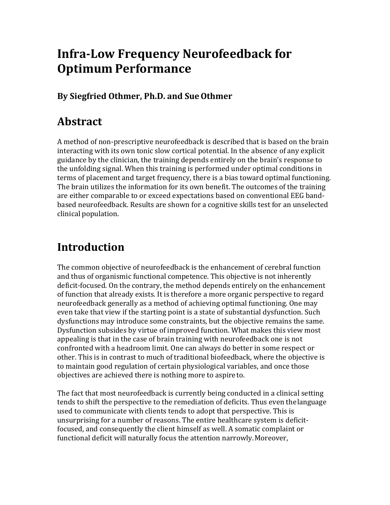# **Infra-Low Frequency Neurofeedback for Optimum Performance**

#### **By Siegfried Othmer, Ph.D. and SueOthmer**

## **Abstract**

A method of non-prescriptive neurofeedback is described that is based on the brain interacting with its own tonic slow cortical potential. In the absence of any explicit guidance by the clinician, the training depends entirely on the brain's response to the unfolding signal. When this training is performed under optimal conditions in terms of placement and target frequency, there is a bias toward optimal functioning. The brain utilizes the information for its own benefit. The outcomes of the training are either comparable to or exceed expectations based on conventional EEG bandbased neurofeedback. Results are shown for a cognitive skills test for an unselected clinical population.

# **Introduction**

The common objective of neurofeedback is the enhancement of cerebral function and thus of organismic functional competence. This objective is not inherently deficit-focused. On the contrary, the method depends entirely on the enhancement of function that already exists. It is therefore a more organic perspective to regard neurofeedback generally as a method of achieving optimal functioning. One may even take that view if the starting point is a state of substantial dysfunction. Such dysfunctions may introduce some constraints, but the objective remains the same. Dysfunction subsides by virtue of improved function. What makes this view most appealing is that in the case of brain training with neurofeedback one is not confronted with a headroom limit. One can always do better in some respect or other. This is in contrast to much of traditional biofeedback, where the objective is to maintain good regulation of certain physiological variables, and once those objectives are achieved there is nothing more to aspireto.

The fact that most neurofeedback is currently being conducted in a clinical setting tends to shift the perspective to the remediation of deficits. Thus even thelanguage used to communicate with clients tends to adopt that perspective. This is unsurprising for a number of reasons. The entire healthcare system is deficitfocused, and consequently the client himself as well. A somatic complaint or functional deficit will naturally focus the attention narrowly.Moreover,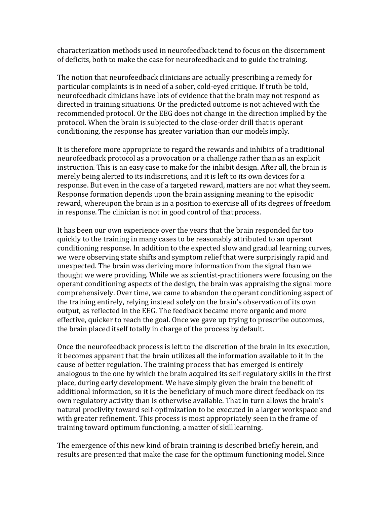characterization methods used in neurofeedback tend to focus on the discernment of deficits, both to make the case for neurofeedback and to guide thetraining.

The notion that neurofeedback clinicians are actually prescribing a remedy for particular complaints is in need of a sober, cold-eyed critique. If truth be told, neurofeedback clinicians have lots of evidence that the brain may not respond as directed in training situations. Or the predicted outcome is not achieved with the recommended protocol. Or the EEG does not change in the direction implied by the protocol. When the brain is subjected to the close-order drill that is operant conditioning, the response has greater variation than our models imply.

It is therefore more appropriate to regard the rewards and inhibits of a traditional neurofeedback protocol as a provocation or a challenge rather than as an explicit instruction. This is an easy case to make for the inhibit design. After all, the brain is merely being alerted to its indiscretions, and it is left to its own devices for a response. But even in the case of a targeted reward, matters are not what theyseem. Response formation depends upon the brain assigning meaning to the episodic reward, whereupon the brain is in a position to exercise all of its degrees of freedom in response. The clinician is not in good control of thatprocess.

It has been our own experience over the years that the brain responded far too quickly to the training in many cases to be reasonably attributed to an operant conditioning response. In addition to the expected slow and gradual learning curves, we were observing state shifts and symptom relief that were surprisingly rapid and unexpected. The brain was deriving more information from the signal than we thought we were providing. While we as scientist-practitioners were focusing on the operant conditioning aspects of the design, the brain was appraising the signal more comprehensively. Over time, we came to abandon the operant conditioning aspect of the training entirely, relying instead solely on the brain's observation of its own output, as reflected in the EEG. The feedback became more organic and more effective, quicker to reach the goal. Once we gave up trying to prescribe outcomes, the brain placed itself totally in charge of the process bydefault.

Once the neurofeedback process is left to the discretion of the brain in its execution, it becomes apparent that the brain utilizes all the information available to it in the cause of better regulation. The training process that has emerged is entirely analogous to the one by which the brain acquired its self-regulatory skills in the first place, during early development. We have simply given the brain the benefit of additional information, so it is the beneficiary of much more direct feedback on its own regulatory activity than is otherwise available. That in turn allows the brain's natural proclivity toward self-optimization to be executed in a larger workspace and with greater refinement. This process is most appropriately seen in the frame of training toward optimum functioning, a matter of skilllearning.

The emergence of this new kind of brain training is described briefly herein, and results are presented that make the case for the optimum functioning model.Since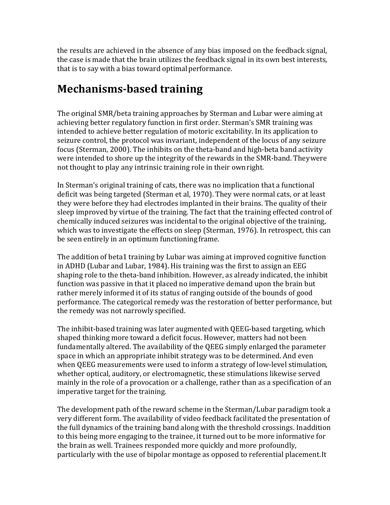the results are achieved in the absence of any bias imposed on the feedback signal, the case is made that the brain utilizes the feedback signal in its own best interests, that is to say with a bias toward optimal performance.

# **Mechanisms-based training**

The original SMR/beta training approaches by Sterman and Lubar were aiming at achieving better regulatory function in first order. Sterman's SMR training was intended to achieve better regulation of motoric excitability. In its application to seizure control, the protocol was invariant, independent of the locus of any seizure focus (Sterman, 2000). The inhibits on the theta-band and high-beta band activity were intended to shore up the integrity of the rewards in the SMR-band. Theywere not thought to play any intrinsic training role in their ownright.

In Sterman's original training of cats, there was no implication that a functional deficit was being targeted (Sterman et al, 1970). They were normal cats, or at least they were before they had electrodes implanted in their brains. The quality of their sleep improved by virtue of the training. The fact that the training effected control of chemically induced seizures was incidental to the original objective of the training, which was to investigate the effects on sleep (Sterman, 1976). In retrospect, this can be seen entirely in an optimum functioning frame.

The addition of beta1 training by Lubar was aiming at improved cognitive function in ADHD (Lubar and Lubar, 1984). His training was the first to assign an EEG shaping role to the theta-band inhibition. However, as already indicated, the inhibit function was passive in that it placed no imperative demand upon the brain but rather merely informed it of its status of ranging outside of the bounds of good performance. The categorical remedy was the restoration of better performance, but the remedy was not narrowly specified.

The inhibit-based training was later augmented with QEEG-based targeting, which shaped thinking more toward a deficit focus. However, matters had not been fundamentally altered. The availability of the QEEG simply enlarged the parameter space in which an appropriate inhibit strategy was to be determined. And even when QEEG measurements were used to inform a strategy of low-level stimulation, whether optical, auditory, or electromagnetic, these stimulations likewise served mainly in the role of a provocation or a challenge, rather than as a specification of an imperative target for the training.

The development path of the reward scheme in the Sterman/Lubar paradigm took a very different form. The availability of video feedback facilitated the presentation of the full dynamics of the training band along with the threshold crossings. Inaddition to this being more engaging to the trainee, it turned out to be more informative for the brain as well. Trainees responded more quickly and more profoundly, particularly with the use of bipolar montage as opposed to referential placement.It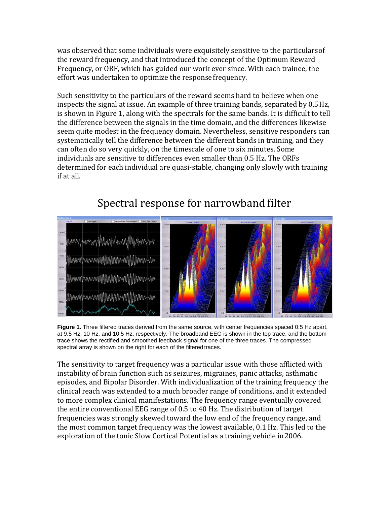was observed that some individuals were exquisitely sensitive to the particularsof the reward frequency, and that introduced the concept of the Optimum Reward Frequency, or ORF, which has guided our work ever since. With each trainee, the effort was undertaken to optimize the responsefrequency.

Such sensitivity to the particulars of the reward seems hard to believe when one inspects the signal at issue. An example of three training bands, separated by 0.5Hz, is shown in Figure 1, along with the spectrals for the same bands. It is difficult to tell the difference between the signals in the time domain, and the differences likewise seem quite modest in the frequency domain. Nevertheless, sensitive responders can systematically tell the difference between the different bands in training, and they can often do so very quickly, on the timescale of one to six minutes. Some individuals are sensitive to differences even smaller than 0.5 Hz. The ORFs determined for each individual are quasi-stable, changing only slowly with training if at all.



## Spectral response for narrowband filter

Figure 1. Three filtered traces derived from the same source, with center frequencies spaced 0.5 Hz apart, at 9.5 Hz, 10 Hz, and 10.5 Hz, respectively. The broadband EEG is shown in the top trace, and the bottom trace shows the rectified and smoothed feedback signal for one of the three traces. The compressed spectral array is shown on the right for each of the filtered traces.

The sensitivity to target frequency was a particular issue with those afflicted with instability of brain function such as seizures, migraines, panic attacks, asthmatic episodes, and Bipolar Disorder. With individualization of the training frequency the clinical reach was extended to a much broader range of conditions, and it extended to more complex clinical manifestations. The frequency range eventually covered the entire conventional EEG range of 0.5 to 40 Hz. The distribution of target frequencies was strongly skewed toward the low end of the frequency range, and the most common target frequency was the lowest available, 0.1 Hz. This led to the exploration of the tonic Slow Cortical Potential as a training vehicle in2006.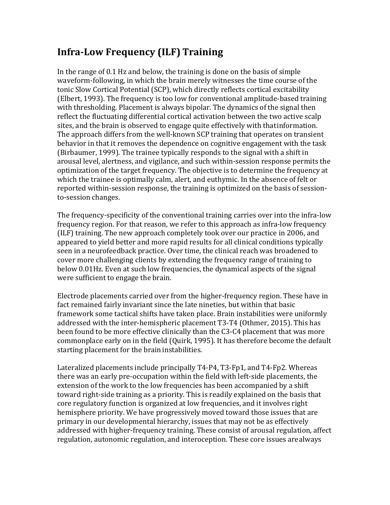## **Infra-Low Frequency (ILF) Training**

In the range of 0.1 Hz and below, the training is done on the basis of simple waveform-following, in which the brain merely witnesses the time course of the tonic Slow Cortical Potential (SCP), which directly reflects cortical excitability (Elbert, 1993). The frequency is too low for conventional amplitude-based training with thresholding. Placement is always bipolar. The dynamics of the signal then reflect the fluctuating differential cortical activation between the two active scalp sites, and the brain is observed to engage quite effectively with thatinformation. The approach differs from the well-known SCP training that operates on transient behavior in that it removes the dependence on cognitive engagement with the task (Birbaumer, 1999). The trainee typically responds to the signal with a shift in arousal level, alertness, and vigilance, and such within-session response permits the optimization of the target frequency. The objective is to determine the frequency at which the trainee is optimally calm, alert, and euthymic. In the absence of felt or reported within-session response, the training is optimized on the basis of sessionto-session changes.

The frequency-specificity of the conventional training carries over into the infra-low frequency region. For that reason, we refer to this approach as infra-low frequency (ILF) training. The new approach completely took over our practice in 2006, and appeared to yield better and more rapid results for all clinical conditions typically seen in a neurofeedback practice. Over time, the clinical reach was broadened to cover more challenging clients by extending the frequency range of training to below 0.01Hz. Even at such low frequencies, the dynamical aspects of the signal were sufficient to engage the brain.

Electrode placements carried over from the higher-frequency region. These have in fact remained fairly invariant since the late nineties, but within that basic framework some tactical shifts have taken place. Brain instabilities were uniformly addressed with the inter-hemispheric placement T3-T4 (Othmer, 2015). This has been found to be more effective clinically than the C3-C4 placement that was more commonplace early on in the field (Quirk, 1995). It has therefore become the default starting placement for the brain instabilities.

Lateralized placements include principally T4-P4, T3-Fp1, and T4-Fp2. Whereas there was an early pre-occupation within the field with left-side placements, the extension of the work to the low frequencies has been accompanied by a shift toward right-side training as a priority. This is readily explained on the basis that core regulatory function is organized at low frequencies, and it involves right hemisphere priority. We have progressively moved toward those issues that are primary in our developmental hierarchy, issues that may not be as effectively addressed with higher-frequency training. These consist of arousal regulation, affect regulation, autonomic regulation, and interoception. These core issues arealways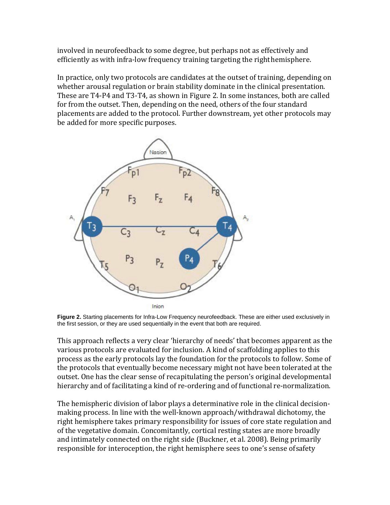involved in neurofeedback to some degree, but perhaps not as effectively and efficiently as with infra-low frequency training targeting the righthemisphere.

In practice, only two protocols are candidates at the outset of training, depending on whether arousal regulation or brain stability dominate in the clinical presentation. These are T4-P4 and T3-T4, as shown in Figure 2. In some instances, both are called for from the outset. Then, depending on the need, others of the four standard placements are added to the protocol. Further downstream, yet other protocols may be added for more specific purposes.



**Figure 2.** Starting placements for Infra-Low Frequency neurofeedback. These are either used exclusively in the first session, or they are used sequentially in the event that both are required.

This approach reflects a very clear 'hierarchy of needs' that becomes apparent as the various protocols are evaluated for inclusion. A kind of scaffolding applies to this process as the early protocols lay the foundation for the protocols to follow. Some of the protocols that eventually become necessary might not have been tolerated at the outset. One has the clear sense of recapitulating the person's original developmental hierarchy and of facilitating a kind of re-ordering and of functional re-normalization.

The hemispheric division of labor plays a determinative role in the clinical decisionmaking process. In line with the well-known approach/withdrawal dichotomy, the right hemisphere takes primary responsibility for issues of core state regulation and of the vegetative domain. Concomitantly, cortical resting states are more broadly and intimately connected on the right side (Buckner, et al. 2008). Being primarily responsible for interoception, the right hemisphere sees to one's sense ofsafety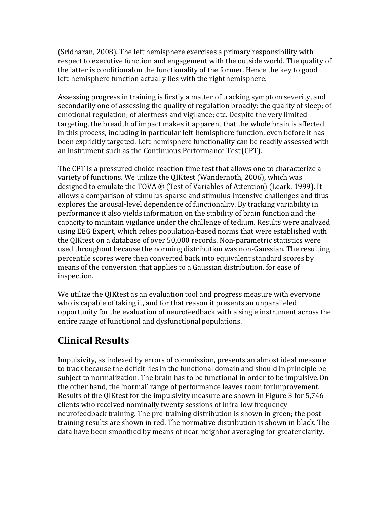(Sridharan, 2008). The left hemisphere exercises a primary responsibility with respect to executive function and engagement with the outside world. The quality of the latter is conditionalon the functionality of the former. Hence the key to good left-hemisphere function actually lies with the righthemisphere.

Assessing progress in training is firstly a matter of tracking symptom severity, and secondarily one of assessing the quality of regulation broadly: the quality of sleep; of emotional regulation; of alertness and vigilance; etc. Despite the very limited targeting, the breadth of impact makes it apparent that the whole brain is affected in this process, including in particular left-hemisphere function, even before it has been explicitly targeted. Left-hemisphere functionality can be readily assessed with an instrument such as the Continuous Performance Test(CPT).

The CPT is a pressured choice reaction time test that allows one to characterize a variety of functions. We utilize the QIKtest (Wandernoth, 2006), which was designed to emulate the TOVA ® (Test of Variables of Attention) (Leark, 1999). It allows a comparison of stimulus-sparse and stimulus-intensive challenges and thus explores the arousal-level dependence of functionality. By tracking variability in performance it also yields information on the stability of brain function and the capacity to maintain vigilance under the challenge of tedium. Results were analyzed using EEG Expert, which relies population-based norms that were established with the QIKtest on a database of over 50,000 records. Non-parametric statistics were used throughout because the norming distribution was non-Gaussian. The resulting percentile scores were then converted back into equivalent standard scores by means of the conversion that applies to a Gaussian distribution, for ease of inspection.

We utilize the QIKtest as an evaluation tool and progress measure with everyone who is capable of taking it, and for that reason it presents an unparalleled opportunity for the evaluation of neurofeedback with a single instrument across the entire range of functional and dysfunctional populations.

### **Clinical Results**

Impulsivity, as indexed by errors of commission, presents an almost ideal measure to track because the deficit lies in the functional domain and should in principle be subject to normalization. The brain has to be functional in order to be impulsive.On the other hand, the 'normal' range of performance leaves room forimprovement. Results of the QIKtest for the impulsivity measure are shown in Figure 3 for 5,746 clients who received nominally twenty sessions of infra-low frequency neurofeedback training. The pre-training distribution is shown in green; the posttraining results are shown in red. The normative distribution is shown in black. The data have been smoothed by means of near-neighbor averaging for greaterclarity.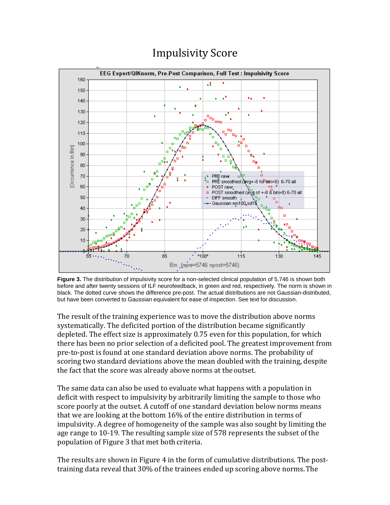

# Impulsivity Score

**Figure 3.** The distribution of impulsivity score for a non-selected clinical population of 5,746 is shown both before and after twenty sessions of ILF neurofeedback, in green and red, respectively. The norm is shown in black. The dotted curve shows the difference pre-post. The actual distributions are not Gaussian-distributed, but have been converted to Gaussian equivalent for ease of inspection. See text for discussion.

The result of the training experience was to move the distribution above norms systematically. The deficited portion of the distribution became significantly depleted. The effect size is approximately 0.75 even for this population, for which there has been no prior selection of a deficited pool. The greatest improvement from pre-to-post is found at one standard deviation above norms. The probability of scoring two standard deviations above the mean doubled with the training, despite the fact that the score was already above norms at the outset.

The same data can also be used to evaluate what happens with a population in deficit with respect to impulsivity by arbitrarily limiting the sample to those who score poorly at the outset. A cutoff of one standard deviation below norms means that we are looking at the bottom 16% of the entire distribution in terms of impulsivity. A degree of homogeneity of the sample was also sought by limiting the age range to 10-19. The resulting sample size of 578 represents the subset of the population of Figure 3 that met both criteria.

The results are shown in Figure 4 in the form of cumulative distributions. The posttraining data reveal that 30% of the trainees ended up scoring above norms.The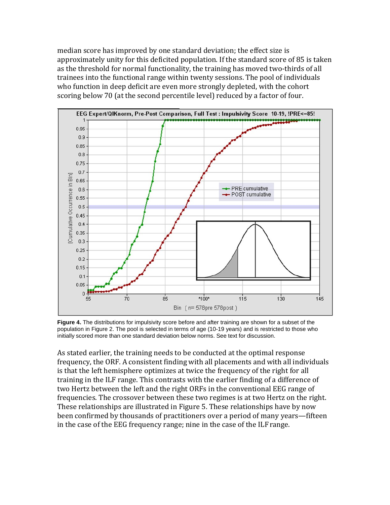median score has improved by one standard deviation; the effect size is approximately unity for this deficited population. If the standard score of 85 is taken as the threshold for normal functionality, the training has moved two-thirds of all trainees into the functional range within twenty sessions. The pool of individuals who function in deep deficit are even more strongly depleted, with the cohort scoring below 70 (at the second percentile level) reduced by a factor of four.



**Figure 4.** The distributions for impulsivity score before and after training are shown for a subset of the population in Figure 2. The pool is selected in terms of age (10-19 years) and is restricted to those who initially scored more than one standard deviation below norms. See text for discussion.

As stated earlier, the training needs to be conducted at the optimal response frequency, the ORF. A consistent finding with all placements and with all individuals is that the left hemisphere optimizes at twice the frequency of the right for all training in the ILF range. This contrasts with the earlier finding of a difference of two Hertz between the left and the right ORFs in the conventional EEG range of frequencies. The crossover between these two regimes is at two Hertz on the right. These relationships are illustrated in Figure 5. These relationships have by now been confirmed by thousands of practitioners over a period of many years—fifteen in the case of the EEG frequency range; nine in the case of the ILFrange.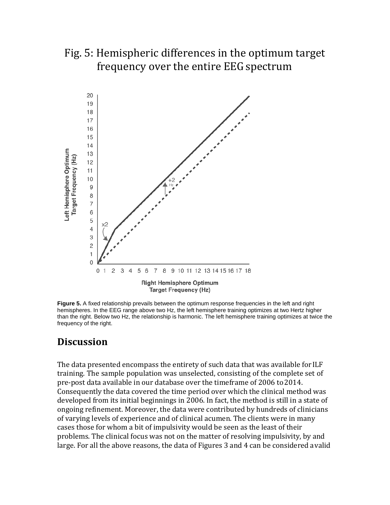## Fig. 5: Hemispheric differences in the optimum target frequency over the entire EEG spectrum



**Figure 5.** A fixed relationship prevails between the optimum response frequencies in the left and right hemispheres. In the EEG range above two Hz, the left hemisphere training optimizes at two Hertz higher than the right. Below two Hz, the relationship is harmonic. The left hemisphere training optimizes at twice the frequency of the right.

### **Discussion**

The data presented encompass the entirety of such data that was available forILF training. The sample population was unselected, consisting of the complete set of pre-post data available in our database over the timeframe of 2006 to 2014. Consequently the data covered the time period over which the clinical method was developed from its initial beginnings in 2006. In fact, the method is still in a state of ongoing refinement. Moreover, the data were contributed by hundreds of clinicians of varying levels of experience and of clinical acumen. The clients were in many cases those for whom a bit of impulsivity would be seen as the least of their problems. The clinical focus was not on the matter of resolving impulsivity, by and large. For all the above reasons, the data of Figures 3 and 4 can be considered avalid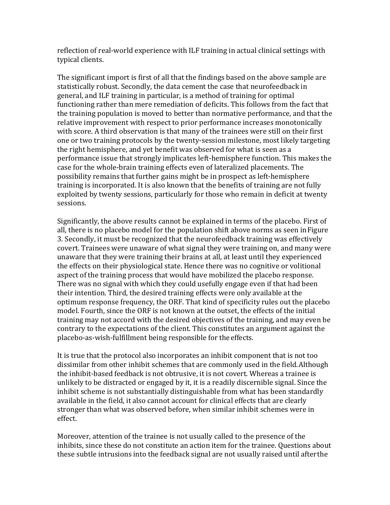reflection of real-world experience with ILF training in actual clinical settings with typical clients.

The significant import is first of all that the findings based on the above sample are statistically robust. Secondly, the data cement the case that neurofeedback in general, and ILF training in particular, is a method of training for optimal functioning rather than mere remediation of deficits. This follows from the fact that the training population is moved to better than normative performance, and that the relative improvement with respect to prior performance increases monotonically with score. A third observation is that many of the trainees were still on their first one or two training protocols by the twenty-session milestone, most likely targeting the right hemisphere, and yet benefit was observed for what is seen as a performance issue that strongly implicates left-hemisphere function. This makes the case for the whole-brain training effects even of lateralized placements. The possibility remains that further gains might be in prospect as left-hemisphere training is incorporated. It is also known that the benefits of training are not fully exploited by twenty sessions, particularly for those who remain in deficit at twenty sessions.

Significantly, the above results cannot be explained in terms of the placebo. First of all, there is no placebo model for the population shift above norms as seen inFigure 3. Secondly, it must be recognized that the neurofeedback training was effectively covert. Trainees were unaware of what signal they were training on, and many were unaware that they were training their brains at all, at least until they experienced the effects on their physiological state. Hence there was no cognitive or volitional aspect of the training process that would have mobilized the placebo response. There was no signal with which they could usefully engage even if that had been their intention. Third, the desired training effects were only available at the optimum response frequency, the ORF. That kind of specificity rules out the placebo model. Fourth, since the ORF is not known at the outset, the effects of the initial training may not accord with the desired objectives of the training, and may even be contrary to the expectations of the client. This constitutes an argument against the placebo-as-wish-fulfillment being responsible for theeffects.

It is true that the protocol also incorporates an inhibit component that is not too dissimilar from other inhibit schemes that are commonly used in the field.Although the inhibit-based feedback is not obtrusive, it is not covert. Whereas a trainee is unlikely to be distracted or engaged by it, it is a readily discernible signal. Since the inhibit scheme is not substantially distinguishable from what has been standardly available in the field, it also cannot account for clinical effects that are clearly stronger than what was observed before, when similar inhibit schemes were in effect.

Moreover, attention of the trainee is not usually called to the presence of the inhibits, since these do not constitute an action item for the trainee. Questions about these subtle intrusions into the feedback signal are not usually raised until afterthe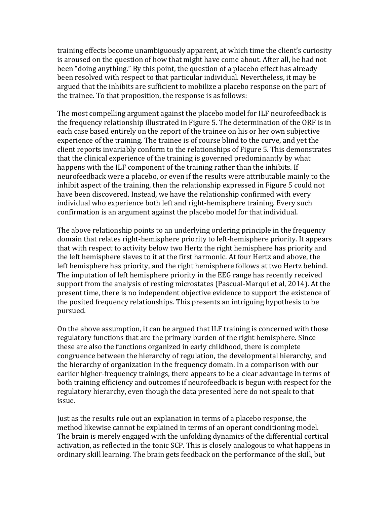training effects become unambiguously apparent, at which time the client's curiosity is aroused on the question of how that might have come about. After all, he had not been "doing anything." By this point, the question of a placebo effect has already been resolved with respect to that particular individual. Nevertheless, it may be argued that the inhibits are sufficient to mobilize a placebo response on the part of the trainee. To that proposition, the response is as follows:

The most compelling argument against the placebo model for ILF neurofeedback is the frequency relationship illustrated in Figure 5. The determination of the ORF is in each case based entirely on the report of the trainee on his or her own subjective experience of the training. The trainee is of course blind to the curve, and yet the client reports invariably conform to the relationships of Figure 5. This demonstrates that the clinical experience of the training is governed predominantly by what happens with the ILF component of the training rather than the inhibits. If neurofeedback were a placebo, or even if the results were attributable mainly to the inhibit aspect of the training, then the relationship expressed in Figure 5 could not have been discovered. Instead, we have the relationship confirmed with every individual who experience both left and right-hemisphere training. Every such confirmation is an argument against the placebo model for thatindividual.

The above relationship points to an underlying ordering principle in the frequency domain that relates right-hemisphere priority to left-hemisphere priority. It appears that with respect to activity below two Hertz the right hemisphere has priority and the left hemisphere slaves to it at the first harmonic. At four Hertz and above, the left hemisphere has priority, and the right hemisphere follows at two Hertz behind. The imputation of left hemisphere priority in the EEG range has recently received support from the analysis of resting microstates (Pascual-Marqui et al, 2014). At the present time, there is no independent objective evidence to support the existence of the posited frequency relationships. This presents an intriguing hypothesis to be pursued.

On the above assumption, it can be argued that ILF training is concerned with those regulatory functions that are the primary burden of the right hemisphere. Since these are also the functions organized in early childhood, there is complete congruence between the hierarchy of regulation, the developmental hierarchy, and the hierarchy of organization in the frequency domain. In a comparison with our earlier higher-frequency trainings, there appears to be a clear advantage in terms of both training efficiency and outcomes if neurofeedback is begun with respect for the regulatory hierarchy, even though the data presented here do not speak to that issue.

Just as the results rule out an explanation in terms of a placebo response, the method likewise cannot be explained in terms of an operant conditioning model. The brain is merely engaged with the unfolding dynamics of the differential cortical activation, as reflected in the tonic SCP. This is closely analogous to what happens in ordinary skill learning. The brain gets feedback on the performance of the skill, but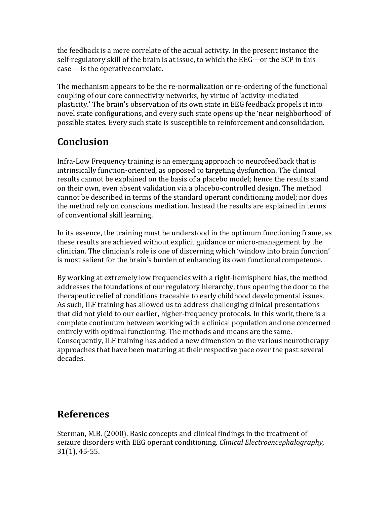the feedback is a mere correlate of the actual activity. In the present instance the self-regulatory skill of the brain is at issue, to which the EEG---or the SCP in this case--- is the operative correlate.

The mechanism appears to be the re-normalization or re-ordering of the functional coupling of our core connectivity networks, by virtue of 'activity-mediated plasticity.' The brain's observation of its own state in EEG feedback propels it into novel state configurations, and every such state opens up the 'near neighborhood' of possible states. Every such state is susceptible to reinforcement andconsolidation.

## **Conclusion**

Infra-Low Frequency training is an emerging approach to neurofeedback that is intrinsically function-oriented, as opposed to targeting dysfunction. The clinical results cannot be explained on the basis of a placebo model; hence the results stand on their own, even absent validation via a placebo-controlled design. The method cannot be described in terms of the standard operant conditioning model; nor does the method rely on conscious mediation. Instead the results are explained in terms of conventional skill learning.

In its essence, the training must be understood in the optimum functioning frame, as these results are achieved without explicit guidance or micro-management by the clinician. The clinician's role is one of discerning which 'window into brain function' is most salient for the brain's burden of enhancing its own functionalcompetence.

By working at extremely low frequencies with a right-hemisphere bias, the method addresses the foundations of our regulatory hierarchy, thus opening the door to the therapeutic relief of conditions traceable to early childhood developmental issues. As such, ILF training has allowed us to address challenging clinical presentations that did not yield to our earlier, higher-frequency protocols. In this work, there is a complete continuum between working with a clinical population and one concerned entirely with optimal functioning. The methods and means are thesame. Consequently, ILF training has added a new dimension to the various neurotherapy approaches that have been maturing at their respective pace over the past several decades.

### **References**

Sterman, M.B. (2000). Basic concepts and clinical findings in the treatment of seizure disorders with EEG operant conditioning. *Clinical Electroencephalography*, 31(1), 45-55.